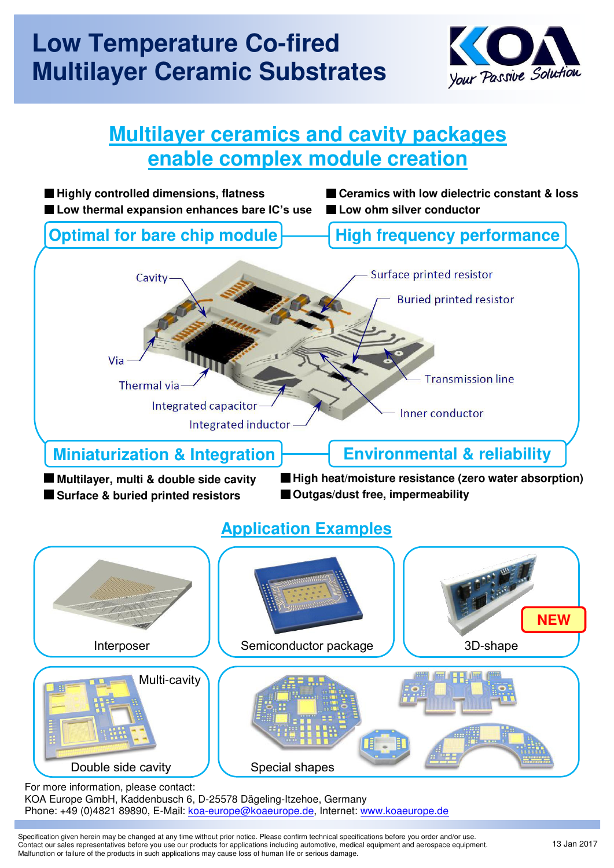## **Low Temperature Co-fired Multilayer Ceramic Substrates**



## **Multilayer ceramics and cavity packages enable complex module creation**



For more information, please contact: KOA Europe GmbH, Kaddenbusch 6, D-25578 Dägeling-Itzehoe, Germany Phone: +49 (0)4821 89890, E-Mail: [koa-europe@koaeurope.de,](mailto:koa-europe@koaeurope.de) Internet: [www.koaeurope.de](http://www.koaeurope.de/) i

Specification given herein may be changed at any time without prior notice. Please confirm technical specifications before you order and/or use. Contact our sales representatives before you use our products for applications including automotive, medical equipment and aerospace equipment. Malfunction or failure of the products in such applications may cause loss of human life or serious damage.